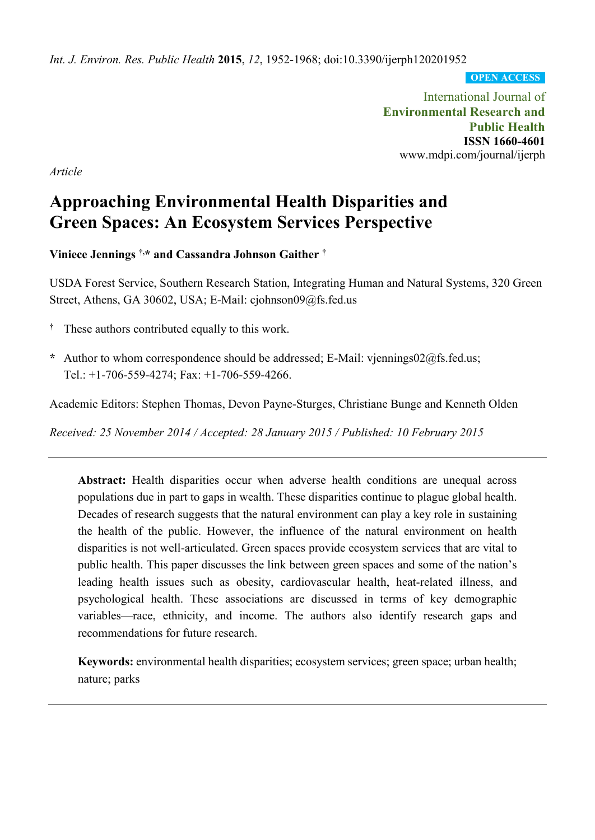*Int. J. Environ. Res. Public Health* **2015**, *12*, 1952-1968; doi:10.3390/ijerph120201952

**OPEN ACCESS**

International Journal of **Environmental Research and Public Health ISSN 1660-4601** www.mdpi.com/journal/ijerph

*Article*

# **Approaching Environmental Health Disparities and Green Spaces: An Ecosystem Services Perspective**

**Viniece Jennings †,\* and Cassandra Johnson Gaither †**

USDA Forest Service, Southern Research Station, Integrating Human and Natural Systems, 320 Green Street, Athens, GA 30602, USA; E-Mail: cjohnson09@fs.fed.us

- **†** These authors contributed equally to this work.
- **\*** Author to whom correspondence should be addressed; E-Mail: vjennings02@fs.fed.us; Tel.: +1-706-559-4274; Fax: +1-706-559-4266.

Academic Editors: Stephen Thomas, Devon Payne-Sturges, Christiane Bunge and Kenneth Olden

*Received: 25 November 2014 / Accepted: 28 January 2015 / Published: 10 February 2015*

**Abstract:** Health disparities occur when adverse health conditions are unequal across populations due in part to gaps in wealth. These disparities continue to plague global health. Decades of research suggests that the natural environment can play a key role in sustaining the health of the public. However, the influence of the natural environment on health disparities is not well-articulated. Green spaces provide ecosystem services that are vital to public health. This paper discusses the link between green spaces and some of the nation's leading health issues such as obesity, cardiovascular health, heat-related illness, and psychological health. These associations are discussed in terms of key demographic variables—race, ethnicity, and income. The authors also identify research gaps and recommendations for future research.

**Keywords:** environmental health disparities; ecosystem services; green space; urban health; nature; parks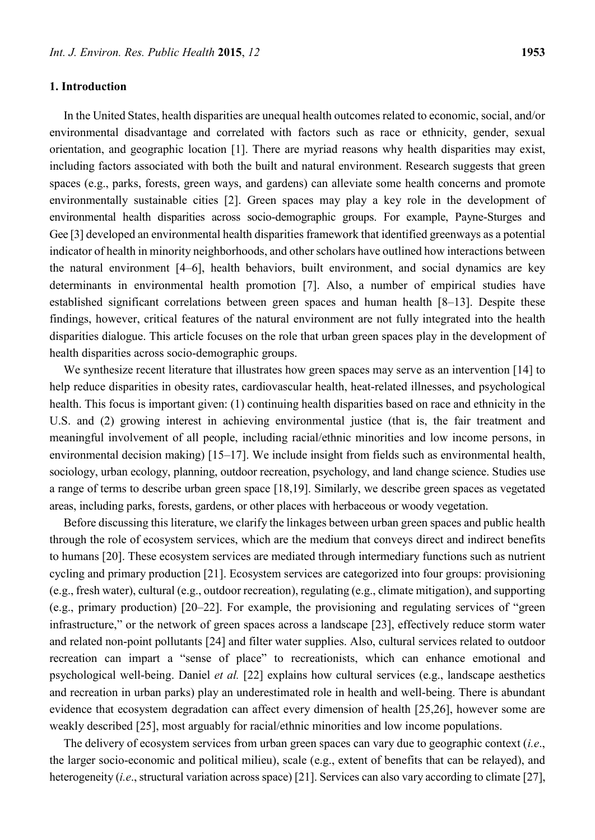#### **1. Introduction**

In the United States, health disparities are unequal health outcomes related to economic, social, and/or environmental disadvantage and correlated with factors such as race or ethnicity, gender, sexual orientation, and geographic location [1]. There are myriad reasons why health disparities may exist, including factors associated with both the built and natural environment. Research suggests that green spaces (e.g., parks, forests, green ways, and gardens) can alleviate some health concerns and promote environmentally sustainable cities [2]. Green spaces may play a key role in the development of environmental health disparities across socio-demographic groups. For example, Payne-Sturges and Gee [3] developed an environmental health disparities framework that identified greenways as a potential indicator of health in minority neighborhoods, and otherscholars have outlined how interactions between the natural environment [4–6], health behaviors, built environment, and social dynamics are key determinants in environmental health promotion [7]. Also, a number of empirical studies have established significant correlations between green spaces and human health [8–13]. Despite these findings, however, critical features of the natural environment are not fully integrated into the health disparities dialogue. This article focuses on the role that urban green spaces play in the development of health disparities across socio-demographic groups.

We synthesize recent literature that illustrates how green spaces may serve as an intervention [14] to help reduce disparities in obesity rates, cardiovascular health, heat-related illnesses, and psychological health. This focus is important given: (1) continuing health disparities based on race and ethnicity in the U.S. and (2) growing interest in achieving environmental justice (that is, the fair treatment and meaningful involvement of all people, including racial/ethnic minorities and low income persons, in environmental decision making) [15–17]. We include insight from fields such as environmental health, sociology, urban ecology, planning, outdoor recreation, psychology, and land change science. Studies use a range of terms to describe urban green space [18,19]. Similarly, we describe green spaces as vegetated areas, including parks, forests, gardens, or other places with herbaceous or woody vegetation.

Before discussing this literature, we clarify the linkages between urban green spaces and public health through the role of ecosystem services, which are the medium that conveys direct and indirect benefits to humans [20]. These ecosystem services are mediated through intermediary functions such as nutrient cycling and primary production [21]. Ecosystem services are categorized into four groups: provisioning (e.g., fresh water), cultural (e.g., outdoor recreation), regulating (e.g., climate mitigation), and supporting (e.g., primary production) [20–22]. For example, the provisioning and regulating services of "green infrastructure," or the network of green spaces across a landscape [23], effectively reduce storm water and related non-point pollutants [24] and filter water supplies. Also, cultural services related to outdoor recreation can impart a "sense of place" to recreationists, which can enhance emotional and psychological well-being. Daniel *et al.* [22] explains how cultural services (e.g., landscape aesthetics and recreation in urban parks) play an underestimated role in health and well-being. There is abundant evidence that ecosystem degradation can affect every dimension of health [25,26], however some are weakly described [25], most arguably for racial/ethnic minorities and low income populations.

The delivery of ecosystem services from urban green spaces can vary due to geographic context (*i.e*., the larger socio-economic and political milieu), scale (e.g., extent of benefits that can be relayed), and heterogeneity *(i.e.*, structural variation across space) [21]. Services can also vary according to climate [27],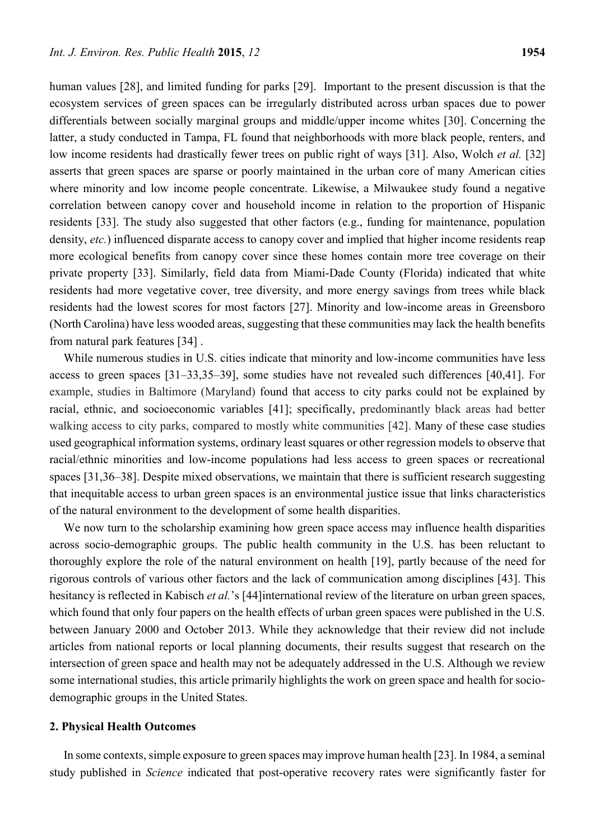human values [28], and limited funding for parks [29]. Important to the present discussion is that the ecosystem services of green spaces can be irregularly distributed across urban spaces due to power differentials between socially marginal groups and middle/upper income whites [30]. Concerning the latter, a study conducted in Tampa, FL found that neighborhoods with more black people, renters, and low income residents had drastically fewer trees on public right of ways [31]. Also, Wolch *et al.* [32] asserts that green spaces are sparse or poorly maintained in the urban core of many American cities where minority and low income people concentrate. Likewise, a Milwaukee study found a negative correlation between canopy cover and household income in relation to the proportion of Hispanic residents [33]. The study also suggested that other factors (e.g., funding for maintenance, population density, *etc.*) influenced disparate access to canopy cover and implied that higher income residents reap more ecological benefits from canopy cover since these homes contain more tree coverage on their private property [33]. Similarly, field data from Miami-Dade County (Florida) indicated that white residents had more vegetative cover, tree diversity, and more energy savings from trees while black residents had the lowest scores for most factors [27]. Minority and low-income areas in Greensboro (North Carolina) have less wooded areas, suggesting that these communities may lack the health benefits from natural park features [34] .

While numerous studies in U.S. cities indicate that minority and low-income communities have less access to green spaces [31–33,35–39], some studies have not revealed such differences [40,41]. For example, studies in Baltimore (Maryland) found that access to city parks could not be explained by racial, ethnic, and socioeconomic variables [41]; specifically, predominantly black areas had better walking access to city parks, compared to mostly white communities [42]. Many of these case studies used geographical information systems, ordinary least squares or other regression models to observe that racial/ethnic minorities and low-income populations had less access to green spaces or recreational spaces [31,36–38]. Despite mixed observations, we maintain that there is sufficient research suggesting that inequitable access to urban green spaces is an environmental justice issue that links characteristics of the natural environment to the development of some health disparities.

We now turn to the scholarship examining how green space access may influence health disparities across socio-demographic groups. The public health community in the U.S. has been reluctant to thoroughly explore the role of the natural environment on health [19], partly because of the need for rigorous controls of various other factors and the lack of communication among disciplines [43]. This hesitancy is reflected in Kabisch *et al.*'s [44]international review of the literature on urban green spaces, which found that only four papers on the health effects of urban green spaces were published in the U.S. between January 2000 and October 2013. While they acknowledge that their review did not include articles from national reports or local planning documents, their results suggest that research on the intersection of green space and health may not be adequately addressed in the U.S. Although we review some international studies, this article primarily highlights the work on green space and health for sociodemographic groups in the United States.

## **2. Physical Health Outcomes**

In some contexts, simple exposure to green spaces may improve human health [23]. In 1984, a seminal study published in *Science* indicated that post-operative recovery rates were significantly faster for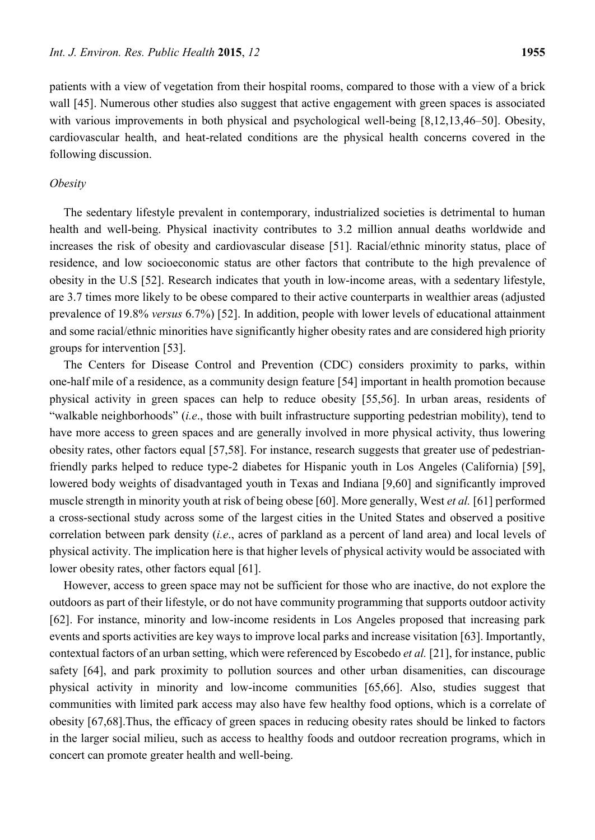patients with a view of vegetation from their hospital rooms, compared to those with a view of a brick wall [45]. Numerous other studies also suggest that active engagement with green spaces is associated with various improvements in both physical and psychological well-being [8,12,13,46–50]. Obesity, cardiovascular health, and heat-related conditions are the physical health concerns covered in the following discussion.

#### *Obesity*

The sedentary lifestyle prevalent in contemporary, industrialized societies is detrimental to human health and well-being. Physical inactivity contributes to 3.2 million annual deaths worldwide and increases the risk of obesity and cardiovascular disease [51]. Racial/ethnic minority status, place of residence, and low socioeconomic status are other factors that contribute to the high prevalence of obesity in the U.S [52]. Research indicates that youth in low-income areas, with a sedentary lifestyle, are 3.7 times more likely to be obese compared to their active counterparts in wealthier areas (adjusted prevalence of 19.8% *versus* 6.7%) [52]. In addition, people with lower levels of educational attainment and some racial/ethnic minorities have significantly higher obesity rates and are considered high priority groups for intervention [53].

The Centers for Disease Control and Prevention (CDC) considers proximity to parks, within one-half mile of a residence, as a community design feature [54] important in health promotion because physical activity in green spaces can help to reduce obesity [55,56]. In urban areas, residents of "walkable neighborhoods" (*i.e*., those with built infrastructure supporting pedestrian mobility), tend to have more access to green spaces and are generally involved in more physical activity, thus lowering obesity rates, other factors equal [57,58]. For instance, research suggests that greater use of pedestrianfriendly parks helped to reduce type-2 diabetes for Hispanic youth in Los Angeles (California) [59], lowered body weights of disadvantaged youth in Texas and Indiana [9,60] and significantly improved muscle strength in minority youth at risk of being obese [60]. More generally, West *et al.* [61] performed a cross-sectional study across some of the largest cities in the United States and observed a positive correlation between park density (*i.e*., acres of parkland as a percent of land area) and local levels of physical activity. The implication here is that higher levels of physical activity would be associated with lower obesity rates, other factors equal [61].

However, access to green space may not be sufficient for those who are inactive, do not explore the outdoors as part of their lifestyle, or do not have community programming that supports outdoor activity [62]. For instance, minority and low-income residents in Los Angeles proposed that increasing park events and sports activities are key ways to improve local parks and increase visitation [63]. Importantly, contextual factors of an urban setting, which were referenced by Escobedo *et al.* [21], for instance, public safety [64], and park proximity to pollution sources and other urban disamenities, can discourage physical activity in minority and low-income communities [65,66]. Also, studies suggest that communities with limited park access may also have few healthy food options, which is a correlate of obesity [67,68].Thus, the efficacy of green spaces in reducing obesity rates should be linked to factors in the larger social milieu, such as access to healthy foods and outdoor recreation programs, which in concert can promote greater health and well-being.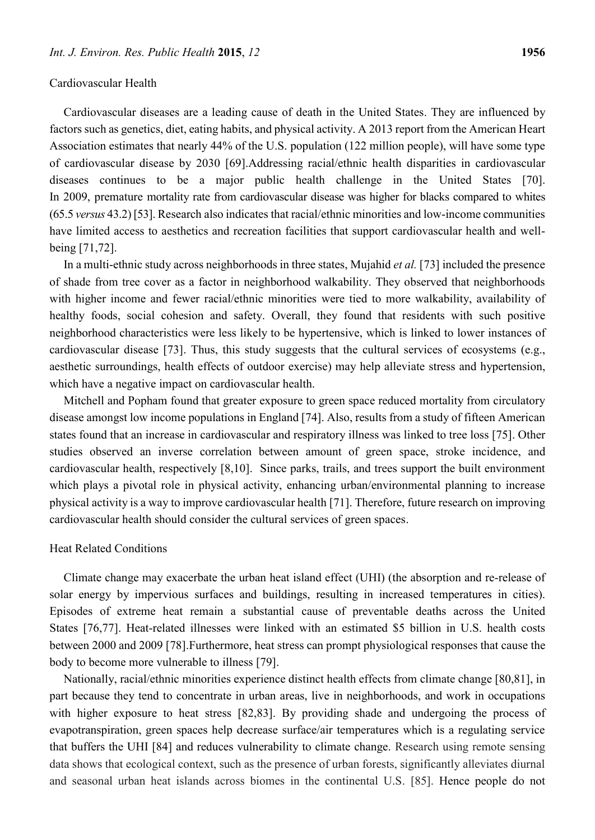#### Cardiovascular Health

Cardiovascular diseases are a leading cause of death in the United States. They are influenced by factors such as genetics, diet, eating habits, and physical activity. A 2013 report from the American Heart Association estimates that nearly 44% of the U.S. population (122 million people), will have some type of cardiovascular disease by 2030 [69].Addressing racial/ethnic health disparities in cardiovascular diseases continues to be a major public health challenge in the United States [70]. In 2009, premature mortality rate from cardiovascular disease was higher for blacks compared to whites (65.5 *versus* 43.2) [53]. Research also indicates that racial/ethnic minorities and low-income communities have limited access to aesthetics and recreation facilities that support cardiovascular health and wellbeing [71,72].

In a multi-ethnic study across neighborhoods in three states, Mujahid *et al.* [73] included the presence of shade from tree cover as a factor in neighborhood walkability. They observed that neighborhoods with higher income and fewer racial/ethnic minorities were tied to more walkability, availability of healthy foods, social cohesion and safety. Overall, they found that residents with such positive neighborhood characteristics were less likely to be hypertensive, which is linked to lower instances of cardiovascular disease [73]. Thus, this study suggests that the cultural services of ecosystems (e.g., aesthetic surroundings, health effects of outdoor exercise) may help alleviate stress and hypertension, which have a negative impact on cardiovascular health.

Mitchell and Popham found that greater exposure to green space reduced mortality from circulatory disease amongst low income populations in England [74]. Also, results from a study of fifteen American states found that an increase in cardiovascular and respiratory illness was linked to tree loss [75]. Other studies observed an inverse correlation between amount of green space, stroke incidence, and cardiovascular health, respectively [8,10]. Since parks, trails, and trees support the built environment which plays a pivotal role in physical activity, enhancing urban/environmental planning to increase physical activity is a way to improve cardiovascular health [71]. Therefore, future research on improving cardiovascular health should consider the cultural services of green spaces.

## Heat Related Conditions

Climate change may exacerbate the urban heat island effect (UHI) (the absorption and re-release of solar energy by impervious surfaces and buildings, resulting in increased temperatures in cities). Episodes of extreme heat remain a substantial cause of preventable deaths across the United States [76,77]. Heat-related illnesses were linked with an estimated \$5 billion in U.S. health costs between 2000 and 2009 [78].Furthermore, heat stress can prompt physiological responses that cause the body to become more vulnerable to illness [79].

Nationally, racial/ethnic minorities experience distinct health effects from climate change [80,81], in part because they tend to concentrate in urban areas, live in neighborhoods, and work in occupations with higher exposure to heat stress [82,83]. By providing shade and undergoing the process of evapotranspiration, green spaces help decrease surface/air temperatures which is a regulating service that buffers the UHI [84] and reduces vulnerability to climate change. Research using remote sensing data shows that ecological context, such as the presence of urban forests, significantly alleviates diurnal and seasonal urban heat islands across biomes in the continental U.S. [85]. Hence people do not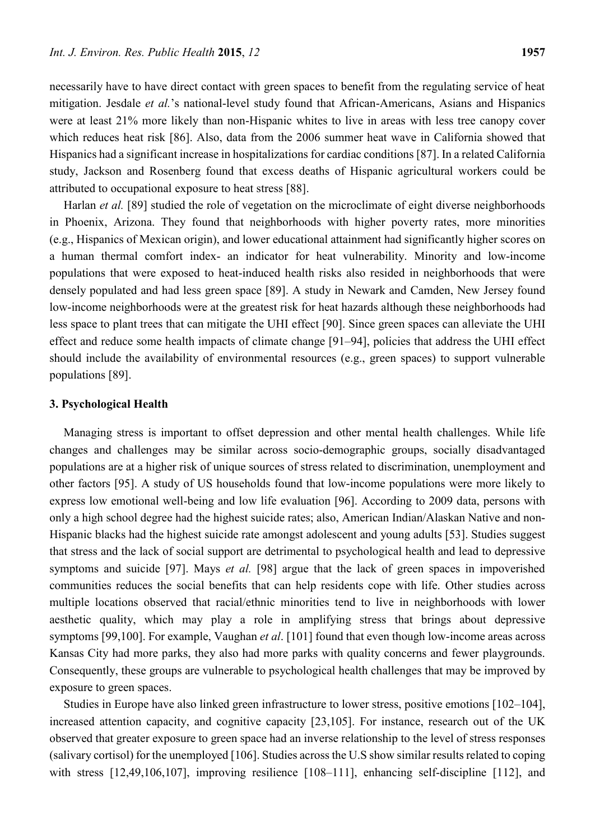necessarily have to have direct contact with green spaces to benefit from the regulating service of heat mitigation. Jesdale *et al.*'s national-level study found that African-Americans, Asians and Hispanics were at least 21% more likely than non-Hispanic whites to live in areas with less tree canopy cover which reduces heat risk [86]. Also, data from the 2006 summer heat wave in California showed that Hispanics had a significant increase in hospitalizations for cardiac conditions [87]. In a related California study, Jackson and Rosenberg found that excess deaths of Hispanic agricultural workers could be attributed to occupational exposure to heat stress [88].

Harlan *et al.* [89] studied the role of vegetation on the microclimate of eight diverse neighborhoods in Phoenix, Arizona. They found that neighborhoods with higher poverty rates, more minorities (e.g., Hispanics of Mexican origin), and lower educational attainment had significantly higher scores on a human thermal comfort index- an indicator for heat vulnerability. Minority and low-income populations that were exposed to heat-induced health risks also resided in neighborhoods that were densely populated and had less green space [89]. A study in Newark and Camden, New Jersey found low-income neighborhoods were at the greatest risk for heat hazards although these neighborhoods had less space to plant trees that can mitigate the UHI effect [90]. Since green spaces can alleviate the UHI effect and reduce some health impacts of climate change [91–94], policies that address the UHI effect should include the availability of environmental resources (e.g., green spaces) to support vulnerable populations [89].

#### **3. Psychological Health**

Managing stress is important to offset depression and other mental health challenges. While life changes and challenges may be similar across socio-demographic groups, socially disadvantaged populations are at a higher risk of unique sources of stress related to discrimination, unemployment and other factors [95]. A study of US households found that low-income populations were more likely to express low emotional well-being and low life evaluation [96]. According to 2009 data, persons with only a high school degree had the highest suicide rates; also, American Indian/Alaskan Native and non-Hispanic blacks had the highest suicide rate amongst adolescent and young adults [53]. Studies suggest that stress and the lack of social support are detrimental to psychological health and lead to depressive symptoms and suicide [97]. Mays *et al.* [98] argue that the lack of green spaces in impoverished communities reduces the social benefits that can help residents cope with life. Other studies across multiple locations observed that racial/ethnic minorities tend to live in neighborhoods with lower aesthetic quality, which may play a role in amplifying stress that brings about depressive symptoms [99,100]. For example, Vaughan *et al*. [101] found that even though low-income areas across Kansas City had more parks, they also had more parks with quality concerns and fewer playgrounds. Consequently, these groups are vulnerable to psychological health challenges that may be improved by exposure to green spaces.

Studies in Europe have also linked green infrastructure to lower stress, positive emotions [102–104], increased attention capacity, and cognitive capacity [23,105]. For instance, research out of the UK observed that greater exposure to green space had an inverse relationship to the level of stress responses (salivary cortisol) for the unemployed [106]. Studies across the U.S show similar results related to coping with stress [12,49,106,107], improving resilience [108–111], enhancing self-discipline [112], and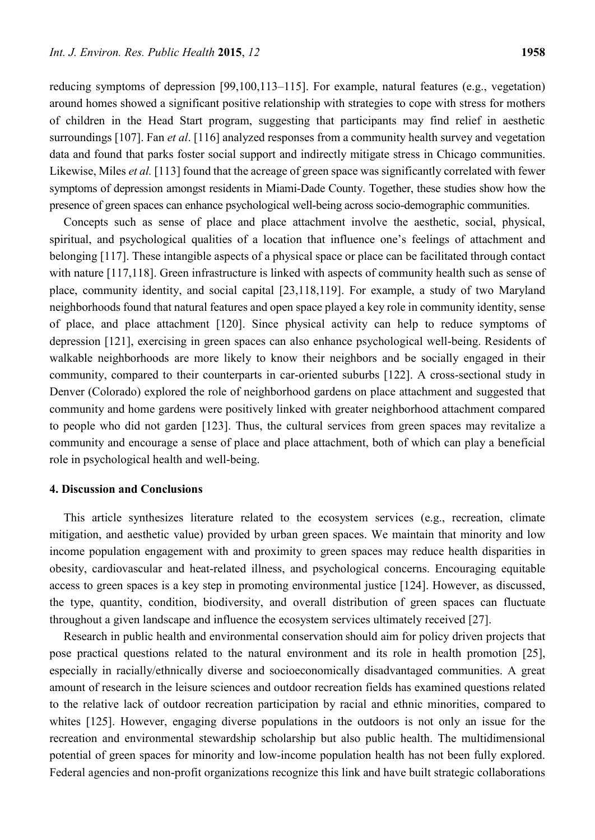reducing symptoms of depression [99,100,113–115]. For example, natural features (e.g., vegetation) around homes showed a significant positive relationship with strategies to cope with stress for mothers of children in the Head Start program, suggesting that participants may find relief in aesthetic surroundings [107]. Fan *et al*. [116] analyzed responses from a community health survey and vegetation data and found that parks foster social support and indirectly mitigate stress in Chicago communities. Likewise, Miles *et al.* [113] found that the acreage of green space was significantly correlated with fewer symptoms of depression amongst residents in Miami-Dade County. Together, these studies show how the presence of green spaces can enhance psychological well-being across socio-demographic communities.

Concepts such as sense of place and place attachment involve the aesthetic, social, physical, spiritual, and psychological qualities of a location that influence one's feelings of attachment and belonging [117]. These intangible aspects of a physical space or place can be facilitated through contact with nature [117,118]. Green infrastructure is linked with aspects of community health such as sense of place, community identity, and social capital [23,118,119]. For example, a study of two Maryland neighborhoods found that natural features and open space played a key role in community identity, sense of place, and place attachment [120]. Since physical activity can help to reduce symptoms of depression [121], exercising in green spaces can also enhance psychological well-being. Residents of walkable neighborhoods are more likely to know their neighbors and be socially engaged in their community, compared to their counterparts in car-oriented suburbs [122]. A cross-sectional study in Denver (Colorado) explored the role of neighborhood gardens on place attachment and suggested that community and home gardens were positively linked with greater neighborhood attachment compared to people who did not garden [123]. Thus, the cultural services from green spaces may revitalize a community and encourage a sense of place and place attachment, both of which can play a beneficial role in psychological health and well-being.

## **4. Discussion and Conclusions**

This article synthesizes literature related to the ecosystem services (e.g., recreation, climate mitigation, and aesthetic value) provided by urban green spaces. We maintain that minority and low income population engagement with and proximity to green spaces may reduce health disparities in obesity, cardiovascular and heat-related illness, and psychological concerns. Encouraging equitable access to green spaces is a key step in promoting environmental justice [124]. However, as discussed, the type, quantity, condition, biodiversity, and overall distribution of green spaces can fluctuate throughout a given landscape and influence the ecosystem services ultimately received [27].

Research in public health and environmental conservation should aim for policy driven projects that pose practical questions related to the natural environment and its role in health promotion [25], especially in racially/ethnically diverse and socioeconomically disadvantaged communities. A great amount of research in the leisure sciences and outdoor recreation fields has examined questions related to the relative lack of outdoor recreation participation by racial and ethnic minorities, compared to whites [125]. However, engaging diverse populations in the outdoors is not only an issue for the recreation and environmental stewardship scholarship but also public health. The multidimensional potential of green spaces for minority and low-income population health has not been fully explored. Federal agencies and non-profit organizations recognize this link and have built strategic collaborations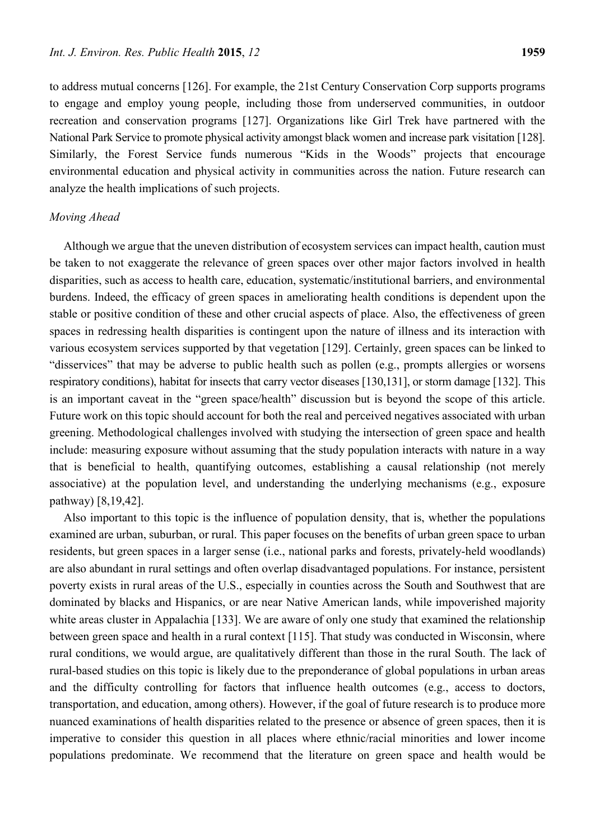to address mutual concerns [126]. For example, the 21st Century Conservation Corp supports programs to engage and employ young people, including those from underserved communities, in outdoor recreation and conservation programs [127]. Organizations like Girl Trek have partnered with the National Park Service to promote physical activity amongst black women and increase park visitation [128]. Similarly, the Forest Service funds numerous "Kids in the Woods" projects that encourage environmental education and physical activity in communities across the nation. Future research can analyze the health implications of such projects.

#### *Moving Ahead*

Although we argue that the uneven distribution of ecosystem services can impact health, caution must be taken to not exaggerate the relevance of green spaces over other major factors involved in health disparities, such as access to health care, education, systematic/institutional barriers, and environmental burdens. Indeed, the efficacy of green spaces in ameliorating health conditions is dependent upon the stable or positive condition of these and other crucial aspects of place. Also, the effectiveness of green spaces in redressing health disparities is contingent upon the nature of illness and its interaction with various ecosystem services supported by that vegetation [129]. Certainly, green spaces can be linked to "disservices" that may be adverse to public health such as pollen (e.g., prompts allergies or worsens respiratory conditions), habitat for insects that carry vector diseases [130,131], or storm damage [132]. This is an important caveat in the "green space/health" discussion but is beyond the scope of this article. Future work on this topic should account for both the real and perceived negatives associated with urban greening. Methodological challenges involved with studying the intersection of green space and health include: measuring exposure without assuming that the study population interacts with nature in a way that is beneficial to health, quantifying outcomes, establishing a causal relationship (not merely associative) at the population level, and understanding the underlying mechanisms (e.g., exposure pathway) [8,19,42].

Also important to this topic is the influence of population density, that is, whether the populations examined are urban, suburban, or rural. This paper focuses on the benefits of urban green space to urban residents, but green spaces in a larger sense (i.e., national parks and forests, privately-held woodlands) are also abundant in rural settings and often overlap disadvantaged populations. For instance, persistent poverty exists in rural areas of the U.S., especially in counties across the South and Southwest that are dominated by blacks and Hispanics, or are near Native American lands, while impoverished majority white areas cluster in Appalachia [133]. We are aware of only one study that examined the relationship between green space and health in a rural context [115]. That study was conducted in Wisconsin, where rural conditions, we would argue, are qualitatively different than those in the rural South. The lack of rural-based studies on this topic is likely due to the preponderance of global populations in urban areas and the difficulty controlling for factors that influence health outcomes (e.g., access to doctors, transportation, and education, among others). However, if the goal of future research is to produce more nuanced examinations of health disparities related to the presence or absence of green spaces, then it is imperative to consider this question in all places where ethnic/racial minorities and lower income populations predominate. We recommend that the literature on green space and health would be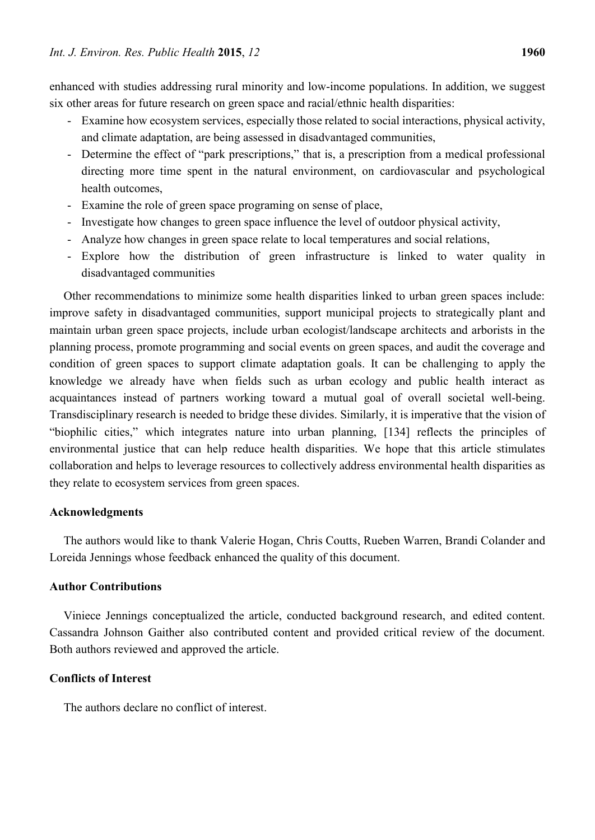enhanced with studies addressing rural minority and low-income populations. In addition, we suggest six other areas for future research on green space and racial/ethnic health disparities:

- Examine how ecosystem services, especially those related to social interactions, physical activity, and climate adaptation, are being assessed in disadvantaged communities,
- Determine the effect of "park prescriptions," that is, a prescription from a medical professional directing more time spent in the natural environment, on cardiovascular and psychological health outcomes,
- Examine the role of green space programing on sense of place,
- Investigate how changes to green space influence the level of outdoor physical activity,
- Analyze how changes in green space relate to local temperatures and social relations,
- Explore how the distribution of green infrastructure is linked to water quality in disadvantaged communities

Other recommendations to minimize some health disparities linked to urban green spaces include: improve safety in disadvantaged communities, support municipal projects to strategically plant and maintain urban green space projects, include urban ecologist/landscape architects and arborists in the planning process, promote programming and social events on green spaces, and audit the coverage and condition of green spaces to support climate adaptation goals. It can be challenging to apply the knowledge we already have when fields such as urban ecology and public health interact as acquaintances instead of partners working toward a mutual goal of overall societal well-being. Transdisciplinary research is needed to bridge these divides. Similarly, it is imperative that the vision of "biophilic cities," which integrates nature into urban planning, [134] reflects the principles of environmental justice that can help reduce health disparities. We hope that this article stimulates collaboration and helps to leverage resources to collectively address environmental health disparities as they relate to ecosystem services from green spaces.

#### **Acknowledgments**

The authors would like to thank Valerie Hogan, Chris Coutts, Rueben Warren, Brandi Colander and Loreida Jennings whose feedback enhanced the quality of this document.

## **Author Contributions**

Viniece Jennings conceptualized the article, conducted background research, and edited content. Cassandra Johnson Gaither also contributed content and provided critical review of the document. Both authors reviewed and approved the article.

## **Conflicts of Interest**

The authors declare no conflict of interest.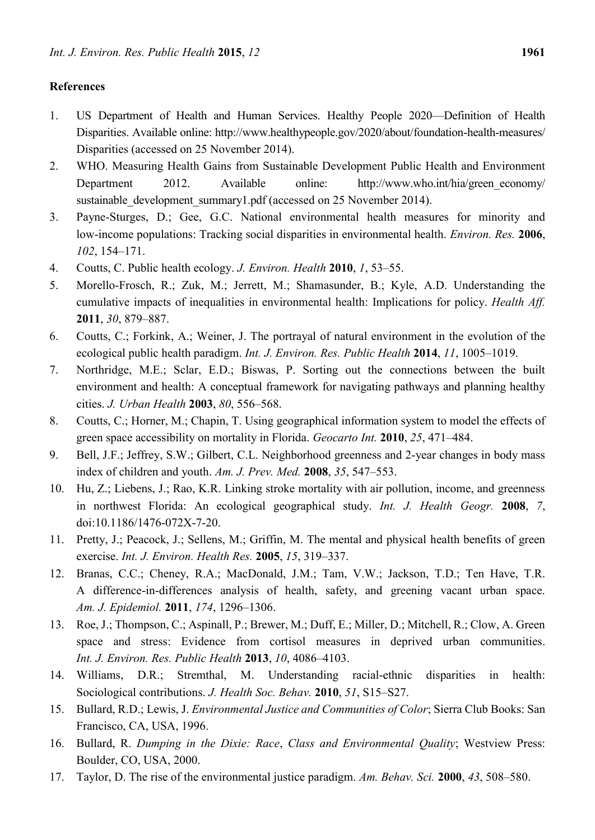# **References**

- 1. US Department of Health and Human Services. Healthy People 2020—Definition of Health Disparities. Available online: http://www.healthypeople.gov/2020/about/foundation-health-measures/ Disparities (accessed on 25 November 2014).
- 2. WHO. Measuring Health Gains from Sustainable Development Public Health and Environment Department 2012. Available online: http://www.who.int/hia/green\_economy/ sustainable\_development\_summary1.pdf (accessed on 25 November 2014).
- 3. Payne-Sturges, D.; Gee, G.C. National environmental health measures for minority and low-income populations: Tracking social disparities in environmental health. *Environ. Res.* **2006**, *102*, 154–171.
- 4. Coutts, C. Public health ecology. *J. Environ. Health* **2010**, *1*, 53–55.
- 5. Morello-Frosch, R.; Zuk, M.; Jerrett, M.; Shamasunder, B.; Kyle, A.D. Understanding the cumulative impacts of inequalities in environmental health: Implications for policy. *Health Aff.* **2011**, *30*, 879–887.
- 6. Coutts, C.; Forkink, A.; Weiner, J. The portrayal of natural environment in the evolution of the ecological public health paradigm. *Int. J. Environ. Res. Public Health* **2014**, *11*, 1005–1019.
- 7. Northridge, M.E.; Sclar, E.D.; Biswas, P. Sorting out the connections between the built environment and health: A conceptual framework for navigating pathways and planning healthy cities. *J. Urban Health* **2003**, *80*, 556–568.
- 8. Coutts, C.; Horner, M.; Chapin, T. Using geographical information system to model the effects of green space accessibility on mortality in Florida. *Geocarto Int.* **2010**, *25*, 471–484.
- 9. Bell, J.F.; Jeffrey, S.W.; Gilbert, C.L. Neighborhood greenness and 2-year changes in body mass index of children and youth. *Am. J. Prev. Med.* **2008**, *35*, 547–553.
- 10. Hu, Z.; Liebens, J.; Rao, K.R. Linking stroke mortality with air pollution, income, and greenness in northwest Florida: An ecological geographical study. *Int. J. Health Geogr.* **2008**, *7*, doi:10.1186/1476-072X-7-20.
- 11. Pretty, J.; Peacock, J.; Sellens, M.; Griffin, M. The mental and physical health benefits of green exercise. *Int. J. Environ. Health Res.* **2005**, *15*, 319–337.
- 12. Branas, C.C.; Cheney, R.A.; MacDonald, J.M.; Tam, V.W.; Jackson, T.D.; Ten Have, T.R. A difference-in-differences analysis of health, safety, and greening vacant urban space. *Am. J. Epidemiol.* **2011**, *174*, 1296–1306.
- 13. Roe, J.; Thompson, C.; Aspinall, P.; Brewer, M.; Duff, E.; Miller, D.; Mitchell, R.; Clow, A. Green space and stress: Evidence from cortisol measures in deprived urban communities. *Int. J. Environ. Res. Public Health* **2013**, *10*, 4086–4103.
- 14. Williams, D.R.; Stremthal, M. Understanding racial-ethnic disparities in health: Sociological contributions. *J. Health Soc. Behav.* **2010**, *51*, S15–S27.
- 15. Bullard, R.D.; Lewis, J. *Environmental Justice and Communities of Color*; Sierra Club Books: San Francisco, CA, USA, 1996.
- 16. Bullard, R. *Dumping in the Dixie: Race*, *Class and Environmental Quality*; Westview Press: Boulder, CO, USA, 2000.
- 17. Taylor, D. The rise of the environmental justice paradigm. *Am. Behav. Sci.* **2000**, *43*, 508–580.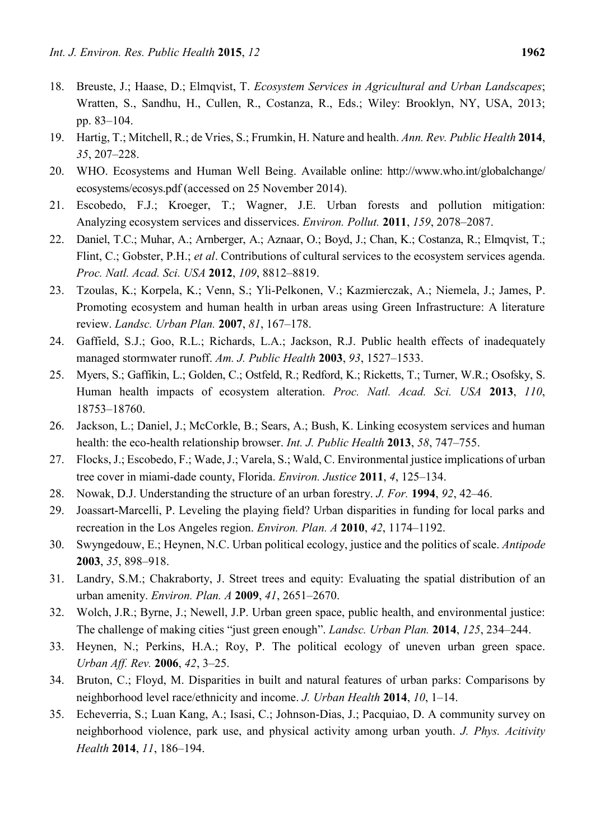- 18. Breuste, J.; Haase, D.; Elmqvist, T. *Ecosystem Services in Agricultural and Urban Landscapes*; Wratten, S., Sandhu, H., Cullen, R., Costanza, R., Eds.; Wiley: Brooklyn, NY, USA, 2013; pp. 83–104.
- 19. Hartig, T.; Mitchell, R.; de Vries, S.; Frumkin, H. Nature and health. *Ann. Rev. Public Health* **2014**, *35*, 207–228.
- 20. WHO. Ecosystems and Human Well Being. Available online: http://www.who.int/globalchange/ ecosystems/ecosys.pdf (accessed on 25 November 2014).
- 21. Escobedo, F.J.; Kroeger, T.; Wagner, J.E. Urban forests and pollution mitigation: Analyzing ecosystem services and disservices. *Environ. Pollut.* **2011**, *159*, 2078–2087.
- 22. Daniel, T.C.; Muhar, A.; Arnberger, A.; Aznaar, O.; Boyd, J.; Chan, K.; Costanza, R.; Elmqvist, T.; Flint, C.; Gobster, P.H.; *et al*. Contributions of cultural services to the ecosystem services agenda. *Proc. Natl. Acad. Sci. USA* **2012**, *109*, 8812–8819.
- 23. Tzoulas, K.; Korpela, K.; Venn, S.; Yli-Pelkonen, V.; Kazmierczak, A.; Niemela, J.; James, P. Promoting ecosystem and human health in urban areas using Green Infrastructure: A literature review. *Landsc. Urban Plan.* **2007**, *81*, 167–178.
- 24. Gaffield, S.J.; Goo, R.L.; Richards, L.A.; Jackson, R.J. Public health effects of inadequately managed stormwater runoff. *Am. J. Public Health* **2003**, *93*, 1527–1533.
- 25. Myers, S.; Gaffikin, L.; Golden, C.; Ostfeld, R.; Redford, K.; Ricketts, T.; Turner, W.R.; Osofsky, S. Human health impacts of ecosystem alteration. *Proc. Natl. Acad. Sci. USA* **2013**, *110*, 18753–18760.
- 26. Jackson, L.; Daniel, J.; McCorkle, B.; Sears, A.; Bush, K. Linking ecosystem services and human health: the eco-health relationship browser. *Int. J. Public Health* **2013**, *58*, 747–755.
- 27. Flocks, J.; Escobedo, F.; Wade, J.; Varela, S.; Wald, C. Environmental justice implications of urban tree cover in miami-dade county, Florida. *Environ. Justice* **2011**, *4*, 125–134.
- 28. Nowak, D.J. Understanding the structure of an urban forestry. *J. For.* **1994**, *92*, 42–46.
- 29. Joassart-Marcelli, P. Leveling the playing field? Urban disparities in funding for local parks and recreation in the Los Angeles region. *Environ. Plan. A* **2010**, *42*, 1174–1192.
- 30. Swyngedouw, E.; Heynen, N.C. Urban political ecology, justice and the politics of scale. *Antipode*  **2003**, *35*, 898–918.
- 31. Landry, S.M.; Chakraborty, J. Street trees and equity: Evaluating the spatial distribution of an urban amenity. *Environ. Plan. A* **2009**, *41*, 2651–2670.
- 32. Wolch, J.R.; Byrne, J.; Newell, J.P. Urban green space, public health, and environmental justice: The challenge of making cities "just green enough". *Landsc. Urban Plan.* **2014**, *125*, 234–244.
- 33. Heynen, N.; Perkins, H.A.; Roy, P. The political ecology of uneven urban green space. *Urban Aff. Rev.* **2006**, *42*, 3–25.
- 34. Bruton, C.; Floyd, M. Disparities in built and natural features of urban parks: Comparisons by neighborhood level race/ethnicity and income. *J. Urban Health* **2014**, *10*, 1–14.
- 35. Echeverria, S.; Luan Kang, A.; Isasi, C.; Johnson-Dias, J.; Pacquiao, D. A community survey on neighborhood violence, park use, and physical activity among urban youth. *J. Phys. Acitivity Health* **2014**, *11*, 186–194.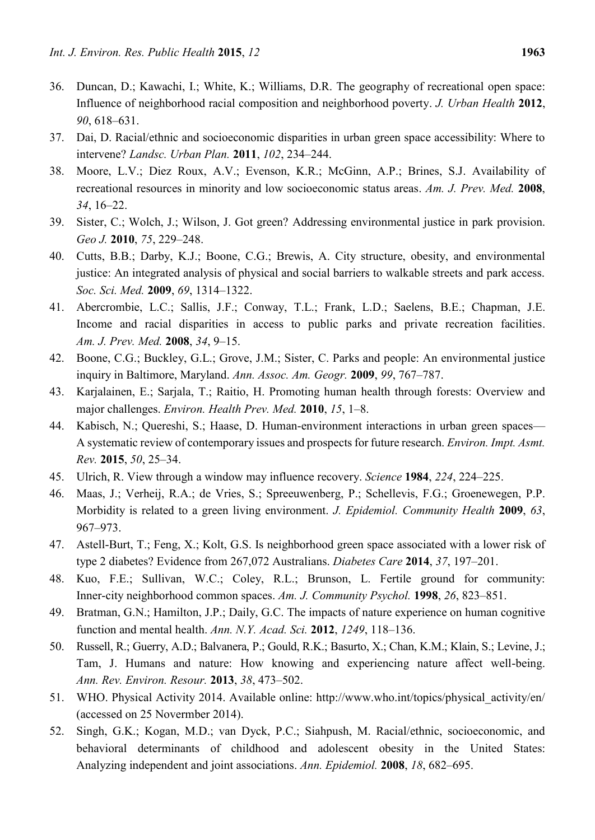- 36. Duncan, D.; Kawachi, I.; White, K.; Williams, D.R. The geography of recreational open space: Influence of neighborhood racial composition and neighborhood poverty. *J. Urban Health* **2012**, *90*, 618–631.
- 37. Dai, D. Racial/ethnic and socioeconomic disparities in urban green space accessibility: Where to intervene? *Landsc. Urban Plan.* **2011**, *102*, 234–244.
- 38. Moore, L.V.; Diez Roux, A.V.; Evenson, K.R.; McGinn, A.P.; Brines, S.J. Availability of recreational resources in minority and low socioeconomic status areas. *Am. J. Prev. Med.* **2008**, *34*, 16–22.
- 39. Sister, C.; Wolch, J.; Wilson, J. Got green? Addressing environmental justice in park provision. *Geo J.* **2010**, *75*, 229–248.
- 40. Cutts, B.B.; Darby, K.J.; Boone, C.G.; Brewis, A. City structure, obesity, and environmental justice: An integrated analysis of physical and social barriers to walkable streets and park access. *Soc. Sci. Med.* **2009**, *69*, 1314–1322.
- 41. Abercrombie, L.C.; Sallis, J.F.; Conway, T.L.; Frank, L.D.; Saelens, B.E.; Chapman, J.E. Income and racial disparities in access to public parks and private recreation facilities. *Am. J. Prev. Med.* **2008**, *34*, 9–15.
- 42. Boone, C.G.; Buckley, G.L.; Grove, J.M.; Sister, C. Parks and people: An environmental justice inquiry in Baltimore, Maryland. *Ann. Assoc. Am. Geogr.* **2009**, *99*, 767–787.
- 43. Karjalainen, E.; Sarjala, T.; Raitio, H. Promoting human health through forests: Overview and major challenges. *Environ. Health Prev. Med.* **2010**, *15*, 1–8.
- 44. Kabisch, N.; Quereshi, S.; Haase, D. Human-environment interactions in urban green spaces— A systematic review of contemporary issues and prospects for future research. *Environ. Impt. Asmt. Rev.* **2015**, *50*, 25–34.
- 45. Ulrich, R. View through a window may influence recovery. *Science* **1984**, *224*, 224–225.
- 46. Maas, J.; Verheij, R.A.; de Vries, S.; Spreeuwenberg, P.; Schellevis, F.G.; Groenewegen, P.P. Morbidity is related to a green living environment. *J. Epidemiol. Community Health* **2009**, *63*, 967–973.
- 47. Astell-Burt, T.; Feng, X.; Kolt, G.S. Is neighborhood green space associated with a lower risk of type 2 diabetes? Evidence from 267,072 Australians. *Diabetes Care* **2014**, *37*, 197–201.
- 48. Kuo, F.E.; Sullivan, W.C.; Coley, R.L.; Brunson, L. Fertile ground for community: Inner-city neighborhood common spaces. *Am. J. Community Psychol.* **1998**, *26*, 823–851.
- 49. Bratman, G.N.; Hamilton, J.P.; Daily, G.C. The impacts of nature experience on human cognitive function and mental health. *Ann. N.Y. Acad. Sci.* **2012**, *1249*, 118–136.
- 50. Russell, R.; Guerry, A.D.; Balvanera, P.; Gould, R.K.; Basurto, X.; Chan, K.M.; Klain, S.; Levine, J.; Tam, J. Humans and nature: How knowing and experiencing nature affect well-being. *Ann. Rev. Environ. Resour.* **2013**, *38*, 473–502.
- 51. WHO. Physical Activity 2014. Available online: http://www.who.int/topics/physical\_activity/en/ (accessed on 25 Novermber 2014).
- 52. Singh, G.K.; Kogan, M.D.; van Dyck, P.C.; Siahpush, M. Racial/ethnic, socioeconomic, and behavioral determinants of childhood and adolescent obesity in the United States: Analyzing independent and joint associations. *Ann. Epidemiol.* **2008**, *18*, 682–695.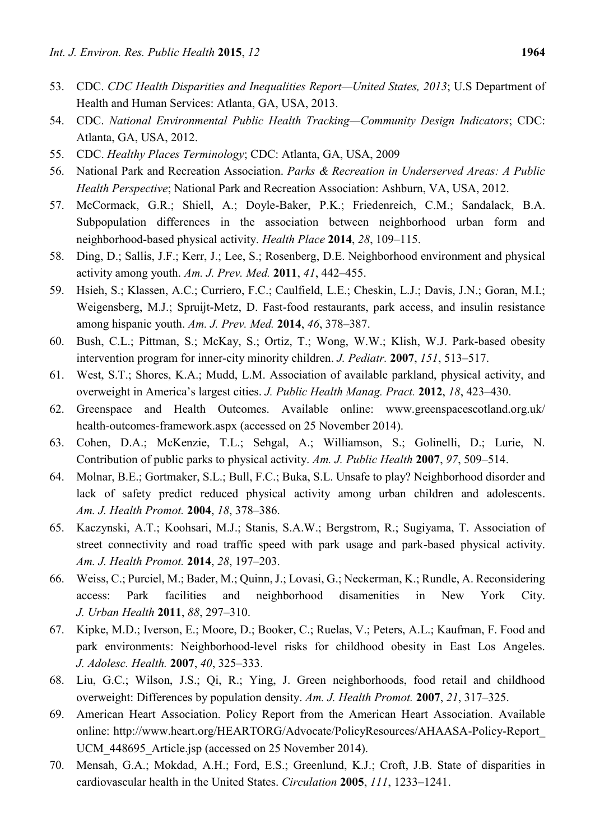- 53. CDC. *CDC Health Disparities and Inequalities Report—United States, 2013*; U.S Department of Health and Human Services: Atlanta, GA, USA, 2013.
- 54. CDC. *National Environmental Public Health Tracking—Community Design Indicators*; CDC: Atlanta, GA, USA, 2012.
- 55. CDC. *Healthy Places Terminology*; CDC: Atlanta, GA, USA, 2009
- 56. National Park and Recreation Association. *Parks & Recreation in Underserved Areas: A Public Health Perspective*; National Park and Recreation Association: Ashburn, VA, USA, 2012.
- 57. McCormack, G.R.; Shiell, A.; Doyle-Baker, P.K.; Friedenreich, C.M.; Sandalack, B.A. Subpopulation differences in the association between neighborhood urban form and neighborhood-based physical activity. *Health Place* **2014**, *28*, 109–115.
- 58. Ding, D.; Sallis, J.F.; Kerr, J.; Lee, S.; Rosenberg, D.E. Neighborhood environment and physical activity among youth. *Am. J. Prev. Med.* **2011**, *41*, 442–455.
- 59. Hsieh, S.; Klassen, A.C.; Curriero, F.C.; Caulfield, L.E.; Cheskin, L.J.; Davis, J.N.; Goran, M.I.; Weigensberg, M.J.; Spruijt-Metz, D. Fast-food restaurants, park access, and insulin resistance among hispanic youth. *Am. J. Prev. Med.* **2014**, *46*, 378–387.
- 60. Bush, C.L.; Pittman, S.; McKay, S.; Ortiz, T.; Wong, W.W.; Klish, W.J. Park-based obesity intervention program for inner-city minority children. *J. Pediatr.* **2007**, *151*, 513–517.
- 61. West, S.T.; Shores, K.A.; Mudd, L.M. Association of available parkland, physical activity, and overweight in America's largest cities. *J. Public Health Manag. Pract.* **2012**, *18*, 423–430.
- 62. Greenspace and Health Outcomes. Available online: www.greenspacescotland.org.uk/ health-outcomes-framework.aspx (accessed on 25 November 2014).
- 63. Cohen, D.A.; McKenzie, T.L.; Sehgal, A.; Williamson, S.; Golinelli, D.; Lurie, N. Contribution of public parks to physical activity. *Am. J. Public Health* **2007**, *97*, 509–514.
- 64. Molnar, B.E.; Gortmaker, S.L.; Bull, F.C.; Buka, S.L. Unsafe to play? Neighborhood disorder and lack of safety predict reduced physical activity among urban children and adolescents. *Am. J. Health Promot.* **2004**, *18*, 378–386.
- 65. Kaczynski, A.T.; Koohsari, M.J.; Stanis, S.A.W.; Bergstrom, R.; Sugiyama, T. Association of street connectivity and road traffic speed with park usage and park-based physical activity. *Am. J. Health Promot.* **2014**, *28*, 197–203.
- 66. Weiss, C.; Purciel, M.; Bader, M.; Quinn, J.; Lovasi, G.; Neckerman, K.; Rundle, A. Reconsidering access: Park facilities and neighborhood disamenities in New York City. *J. Urban Health* **2011**, *88*, 297–310.
- 67. Kipke, M.D.; Iverson, E.; Moore, D.; Booker, C.; Ruelas, V.; Peters, A.L.; Kaufman, F. Food and park environments: Neighborhood-level risks for childhood obesity in East Los Angeles. *J. Adolesc. Health.* **2007**, *40*, 325–333.
- 68. Liu, G.C.; Wilson, J.S.; Qi, R.; Ying, J. Green neighborhoods, food retail and childhood overweight: Differences by population density. *Am. J. Health Promot.* **2007**, *21*, 317–325.
- 69. American Heart Association. Policy Report from the American Heart Association. Available online: http://www.heart.org/HEARTORG/Advocate/PolicyResources/AHAASA-Policy-Report\_ UCM 448695 Article.jsp (accessed on 25 November 2014).
- 70. Mensah, G.A.; Mokdad, A.H.; Ford, E.S.; Greenlund, K.J.; Croft, J.B. State of disparities in cardiovascular health in the United States. *Circulation* **2005**, *111*, 1233–1241.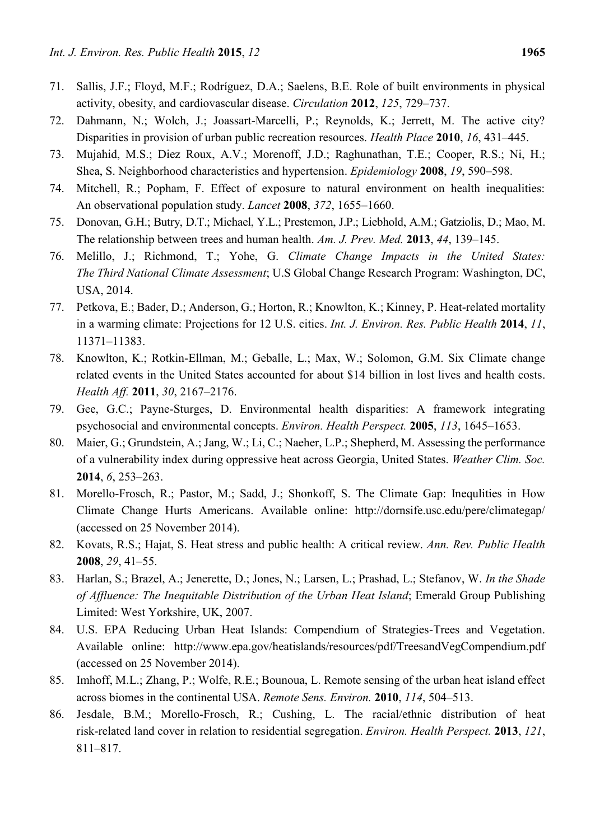- 71. Sallis, J.F.; Floyd, M.F.; Rodríguez, D.A.; Saelens, B.E. Role of built environments in physical activity, obesity, and cardiovascular disease. *Circulation* **2012**, *125*, 729–737.
- 72. Dahmann, N.; Wolch, J.; Joassart-Marcelli, P.; Reynolds, K.; Jerrett, M. The active city? Disparities in provision of urban public recreation resources. *Health Place* **2010**, *16*, 431–445.
- 73. Mujahid, M.S.; Diez Roux, A.V.; Morenoff, J.D.; Raghunathan, T.E.; Cooper, R.S.; Ni, H.; Shea, S. Neighborhood characteristics and hypertension. *Epidemiology* **2008**, *19*, 590–598.
- 74. Mitchell, R.; Popham, F. Effect of exposure to natural environment on health inequalities: An observational population study. *Lancet* **2008**, *372*, 1655–1660.
- 75. Donovan, G.H.; Butry, D.T.; Michael, Y.L.; Prestemon, J.P.; Liebhold, A.M.; Gatziolis, D.; Mao, M. The relationship between trees and human health. *Am. J. Prev. Med.* **2013**, *44*, 139–145.
- 76. Melillo, J.; Richmond, T.; Yohe, G. *Climate Change Impacts in the United States: The Third National Climate Assessment*; U.S Global Change Research Program: Washington, DC, USA, 2014.
- 77. Petkova, E.; Bader, D.; Anderson, G.; Horton, R.; Knowlton, K.; Kinney, P. Heat-related mortality in a warming climate: Projections for 12 U.S. cities. *Int. J. Environ. Res. Public Health* **2014**, *11*, 11371–11383.
- 78. Knowlton, K.; Rotkin-Ellman, M.; Geballe, L.; Max, W.; Solomon, G.M. Six Climate change related events in the United States accounted for about \$14 billion in lost lives and health costs. *Health Aff.* **2011**, *30*, 2167–2176.
- 79. Gee, G.C.; Payne-Sturges, D. Environmental health disparities: A framework integrating psychosocial and environmental concepts. *Environ. Health Perspect.* **2005**, *113*, 1645–1653.
- 80. Maier, G.; Grundstein, A.; Jang, W.; Li, C.; Naeher, L.P.; Shepherd, M. Assessing the performance of a vulnerability index during oppressive heat across Georgia, United States. *Weather Clim. Soc.* **2014**, *6*, 253–263.
- 81. Morello-Frosch, R.; Pastor, M.; Sadd, J.; Shonkoff, S. The Climate Gap: Inequlities in How Climate Change Hurts Americans. Available online: http://dornsife.usc.edu/pere/climategap/ (accessed on 25 November 2014).
- 82. Kovats, R.S.; Hajat, S. Heat stress and public health: A critical review. *Ann. Rev. Public Health*  **2008**, *29*, 41–55.
- 83. Harlan, S.; Brazel, A.; Jenerette, D.; Jones, N.; Larsen, L.; Prashad, L.; Stefanov, W. *In the Shade of Affluence: The Inequitable Distribution of the Urban Heat Island*; Emerald Group Publishing Limited: West Yorkshire, UK, 2007.
- 84. U.S. EPA Reducing Urban Heat Islands: Compendium of Strategies-Trees and Vegetation. Available online: http://www.epa.gov/heatislands/resources/pdf/TreesandVegCompendium.pdf (accessed on 25 November 2014).
- 85. Imhoff, M.L.; Zhang, P.; Wolfe, R.E.; Bounoua, L. Remote sensing of the urban heat island effect across biomes in the continental USA. *Remote Sens. Environ.* **2010**, *114*, 504–513.
- 86. Jesdale, B.M.; Morello-Frosch, R.; Cushing, L. The racial/ethnic distribution of heat risk-related land cover in relation to residential segregation. *Environ. Health Perspect.* **2013**, *121*, 811–817.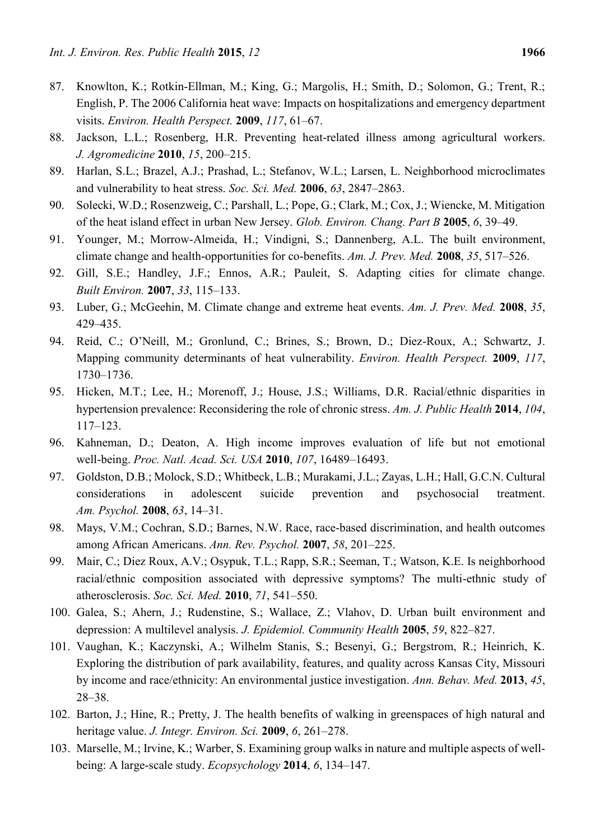- 87. Knowlton, K.; Rotkin-Ellman, M.; King, G.; Margolis, H.; Smith, D.; Solomon, G.; Trent, R.; English, P. The 2006 California heat wave: Impacts on hospitalizations and emergency department visits. *Environ. Health Perspect.* **2009**, *117*, 61–67.
- 88. Jackson, L.L.; Rosenberg, H.R. Preventing heat-related illness among agricultural workers. *J. Agromedicine* **2010**, *15*, 200–215.
- 89. Harlan, S.L.; Brazel, A.J.; Prashad, L.; Stefanov, W.L.; Larsen, L. Neighborhood microclimates and vulnerability to heat stress. *Soc. Sci. Med.* **2006**, *63*, 2847–2863.
- 90. Solecki, W.D.; Rosenzweig, C.; Parshall, L.; Pope, G.; Clark, M.; Cox, J.; Wiencke, M. Mitigation of the heat island effect in urban New Jersey. *Glob. Environ. Chang. Part B* **2005**, *6*, 39–49.
- 91. Younger, M.; Morrow-Almeida, H.; Vindigni, S.; Dannenberg, A.L. The built environment, climate change and health-opportunities for co-benefits. *Am. J. Prev. Med.* **2008**, *35*, 517–526.
- 92. Gill, S.E.; Handley, J.F.; Ennos, A.R.; Pauleit, S. Adapting cities for climate change. *Built Environ.* **2007**, *33*, 115–133.
- 93. Luber, G.; McGeehin, M. Climate change and extreme heat events. *Am. J. Prev. Med.* **2008**, *35*, 429–435.
- 94. Reid, C.; O'Neill, M.; Gronlund, C.; Brines, S.; Brown, D.; Diez-Roux, A.; Schwartz, J. Mapping community determinants of heat vulnerability. *Environ. Health Perspect.* **2009**, *117*, 1730–1736.
- 95. Hicken, M.T.; Lee, H.; Morenoff, J.; House, J.S.; Williams, D.R. Racial/ethnic disparities in hypertension prevalence: Reconsidering the role of chronic stress. *Am. J. Public Health* **2014**, *104*, 117–123.
- 96. Kahneman, D.; Deaton, A. High income improves evaluation of life but not emotional well-being. *Proc. Natl. Acad. Sci. USA* **2010**, *107*, 16489–16493.
- 97. Goldston, D.B.; Molock, S.D.; Whitbeck, L.B.; Murakami, J.L.; Zayas, L.H.; Hall, G.C.N. Cultural considerations in adolescent suicide prevention and psychosocial treatment. *Am. Psychol.* **2008**, *63*, 14–31.
- 98. Mays, V.M.; Cochran, S.D.; Barnes, N.W. Race, race-based discrimination, and health outcomes among African Americans. *Ann. Rev. Psychol.* **2007**, *58*, 201–225.
- 99. Mair, C.; Diez Roux, A.V.; Osypuk, T.L.; Rapp, S.R.; Seeman, T.; Watson, K.E. Is neighborhood racial/ethnic composition associated with depressive symptoms? The multi-ethnic study of atherosclerosis. *Soc. Sci. Med.* **2010**, *71*, 541–550.
- 100. Galea, S.; Ahern, J.; Rudenstine, S.; Wallace, Z.; Vlahov, D. Urban built environment and depression: A multilevel analysis. *J. Epidemiol. Community Health* **2005**, *59*, 822–827.
- 101. Vaughan, K.; Kaczynski, A.; Wilhelm Stanis, S.; Besenyi, G.; Bergstrom, R.; Heinrich, K. Exploring the distribution of park availability, features, and quality across Kansas City, Missouri by income and race/ethnicity: An environmental justice investigation. *Ann. Behav. Med.* **2013**, *45*, 28–38.
- 102. Barton, J.; Hine, R.; Pretty, J. The health benefits of walking in greenspaces of high natural and heritage value. *J. Integr. Environ. Sci.* **2009**, *6*, 261–278.
- 103. Marselle, M.; Irvine, K.; Warber, S. Examining group walks in nature and multiple aspects of wellbeing: A large-scale study. *Ecopsychology* **2014**, *6*, 134–147.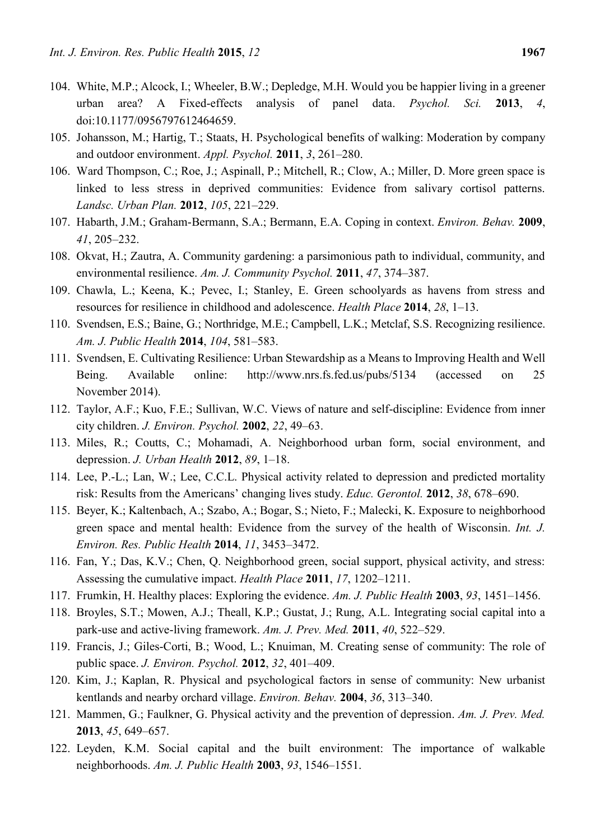- 104. White, M.P.; Alcock, I.; Wheeler, B.W.; Depledge, M.H. Would you be happier living in a greener urban area? A Fixed-effects analysis of panel data. *Psychol. Sci.* **2013**, *4*, doi:10.1177/0956797612464659.
- 105. Johansson, M.; Hartig, T.; Staats, H. Psychological benefits of walking: Moderation by company and outdoor environment. *Appl. Psychol.* **2011**, *3*, 261–280.
- 106. Ward Thompson, C.; Roe, J.; Aspinall, P.; Mitchell, R.; Clow, A.; Miller, D. More green space is linked to less stress in deprived communities: Evidence from salivary cortisol patterns. *Landsc. Urban Plan.* **2012**, *105*, 221–229.
- 107. Habarth, J.M.; Graham-Bermann, S.A.; Bermann, E.A. Coping in context. *Environ. Behav.* **2009**, *41*, 205–232.
- 108. Okvat, H.; Zautra, A. Community gardening: a parsimonious path to individual, community, and environmental resilience. *Am. J. Community Psychol.* **2011**, *47*, 374–387.
- 109. Chawla, L.; Keena, K.; Pevec, I.; Stanley, E. Green schoolyards as havens from stress and resources for resilience in childhood and adolescence. *Health Place* **2014**, *28*, 1–13.
- 110. Svendsen, E.S.; Baine, G.; Northridge, M.E.; Campbell, L.K.; Metclaf, S.S. Recognizing resilience. *Am. J. Public Health* **2014**, *104*, 581–583.
- 111. Svendsen, E. Cultivating Resilience: Urban Stewardship as a Means to Improving Health and Well Being. Available online: http://www.nrs.fs.fed.us/pubs/5134 (accessed on 25 November 2014).
- 112. Taylor, A.F.; Kuo, F.E.; Sullivan, W.C. Views of nature and self-discipline: Evidence from inner city children. *J. Environ. Psychol.* **2002**, *22*, 49–63.
- 113. Miles, R.; Coutts, C.; Mohamadi, A. Neighborhood urban form, social environment, and depression. *J. Urban Health* **2012**, *89*, 1–18.
- 114. Lee, P.-L.; Lan, W.; Lee, C.C.L. Physical activity related to depression and predicted mortality risk: Results from the Americans' changing lives study. *Educ. Gerontol.* **2012**, *38*, 678–690.
- 115. Beyer, K.; Kaltenbach, A.; Szabo, A.; Bogar, S.; Nieto, F.; Malecki, K. Exposure to neighborhood green space and mental health: Evidence from the survey of the health of Wisconsin. *Int. J. Environ. Res. Public Health* **2014**, *11*, 3453–3472.
- 116. Fan, Y.; Das, K.V.; Chen, Q. Neighborhood green, social support, physical activity, and stress: Assessing the cumulative impact. *Health Place* **2011**, *17*, 1202–1211.
- 117. Frumkin, H. Healthy places: Exploring the evidence. *Am. J. Public Health* **2003**, *93*, 1451–1456.
- 118. Broyles, S.T.; Mowen, A.J.; Theall, K.P.; Gustat, J.; Rung, A.L. Integrating social capital into a park-use and active-living framework. *Am. J. Prev. Med.* **2011**, *40*, 522–529.
- 119. Francis, J.; Giles-Corti, B.; Wood, L.; Knuiman, M. Creating sense of community: The role of public space. *J. Environ. Psychol.* **2012**, *32*, 401–409.
- 120. Kim, J.; Kaplan, R. Physical and psychological factors in sense of community: New urbanist kentlands and nearby orchard village. *Environ. Behav.* **2004**, *36*, 313–340.
- 121. Mammen, G.; Faulkner, G. Physical activity and the prevention of depression. *Am. J. Prev. Med.* **2013**, *45*, 649–657.
- 122. Leyden, K.M. Social capital and the built environment: The importance of walkable neighborhoods. *Am. J. Public Health* **2003**, *93*, 1546–1551.